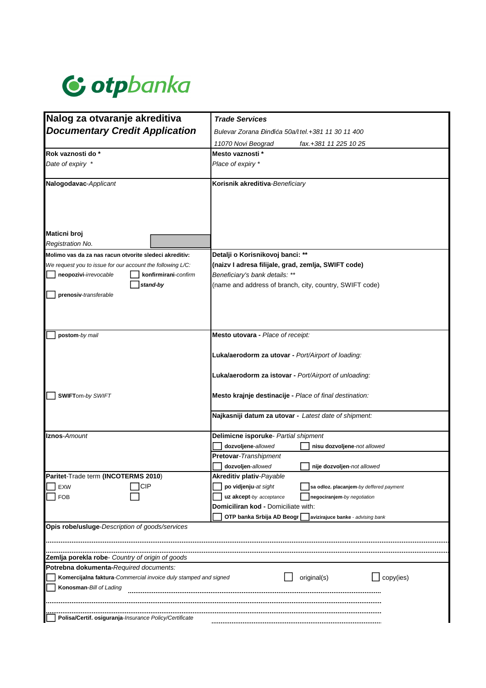

| Nalog za otvaranje akreditiva                                                                               | <b>Trade Services</b>                                                                                       |  |  |  |
|-------------------------------------------------------------------------------------------------------------|-------------------------------------------------------------------------------------------------------------|--|--|--|
| <b>Documentary Credit Application</b>                                                                       | Bulevar Zorana Đinđića 50a/i tel.+381 11 30 11 400                                                          |  |  |  |
|                                                                                                             | 11070 Novi Beograd<br>fax.+381 11 225 10 25                                                                 |  |  |  |
| Rok vaznosti do *                                                                                           | Mesto vaznosti *                                                                                            |  |  |  |
| Date of expiry *                                                                                            | Place of expiry *                                                                                           |  |  |  |
|                                                                                                             |                                                                                                             |  |  |  |
| Nalogodavac-Applicant                                                                                       | Korisnik akreditiva-Beneficiary                                                                             |  |  |  |
| Maticni broj                                                                                                |                                                                                                             |  |  |  |
| Registration No.                                                                                            |                                                                                                             |  |  |  |
|                                                                                                             | Detalji o Korisnikovoj banci: **                                                                            |  |  |  |
| Molimo vas da za nas racun otvorite sledeci akreditiv:                                                      |                                                                                                             |  |  |  |
| We request you to issue for our account the following L/C:<br>neopozivi-irrevocable<br>konfirmirani-confirm | (naizv I adresa filijale, grad, zemlja, SWIFT code)                                                         |  |  |  |
| stand-by                                                                                                    | Beneficiary's bank details: **                                                                              |  |  |  |
| prenosiv-transferable                                                                                       | (name and address of branch, city, country, SWIFT code)                                                     |  |  |  |
| postom-by mail                                                                                              | Mesto utovara - Place of receipt:                                                                           |  |  |  |
|                                                                                                             | Luka/aerodorm za utovar - Port/Airport of loading:<br>Luka/aerodorm za istovar - Port/Airport of unloading: |  |  |  |
| <b>SWIFTom-by SWIFT</b>                                                                                     | Mesto krajnje destinacije - Place of final destination:                                                     |  |  |  |
|                                                                                                             | Najkasniji datum za utovar - Latest date of shipment:                                                       |  |  |  |
| <b>Iznos</b> -Amount                                                                                        | Delimicne isporuke- Partial shipment                                                                        |  |  |  |
|                                                                                                             | dozvoljene-allowed<br>nisu dozvoljene-not allowed                                                           |  |  |  |
|                                                                                                             | <b>Pretovar-Transhipment</b>                                                                                |  |  |  |
|                                                                                                             | dozvoljen-allowed<br>nije dozvoljen-not allowed                                                             |  |  |  |
| Paritet-Trade term (INCOTERMS 2010)                                                                         | Akreditiv plativ-Payable                                                                                    |  |  |  |
| <b>CIP</b><br><b>EXW</b>                                                                                    | po vidjenju-at sight<br>sa odloz. placanjem-by deffered payment                                             |  |  |  |
| <b>FOB</b>                                                                                                  | uz akcept-by acceptance<br>negociranjem-by negotiation                                                      |  |  |  |
|                                                                                                             | Domiciliran kod - Domiciliate with:                                                                         |  |  |  |
|                                                                                                             | OTP banka Srbija AD Beogr<br>avizirajuce banke - advising bank                                              |  |  |  |
| Opis robe/usluge-Description of goods/services                                                              |                                                                                                             |  |  |  |
|                                                                                                             |                                                                                                             |  |  |  |
| Zemlja porekla robe- Country of origin of goods                                                             |                                                                                                             |  |  |  |
| Potrebna dokumenta-Required documents:                                                                      |                                                                                                             |  |  |  |
| original(s)<br>Komercijalna faktura-Commercial invoice duly stamped and signed<br>copy(ies)                 |                                                                                                             |  |  |  |
| Konosman-Bill of Lading                                                                                     |                                                                                                             |  |  |  |
|                                                                                                             |                                                                                                             |  |  |  |
| Polisa/Certif. osiguranja-Insurance Policy/Certificate                                                      |                                                                                                             |  |  |  |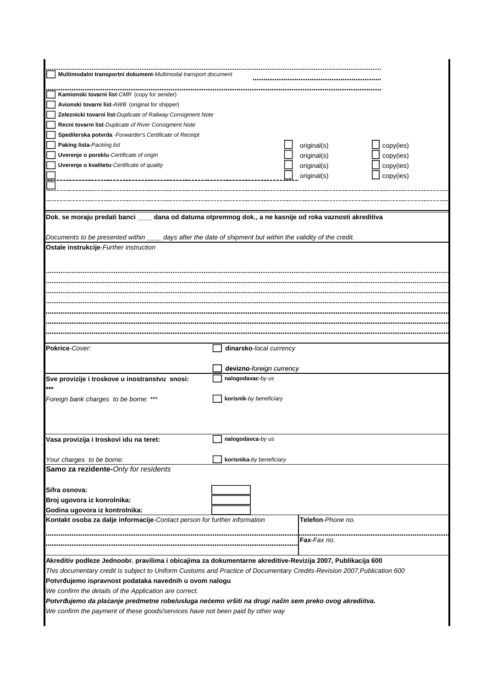| Multimodalni transportni dokument-Multimodal transport document                                                                                                                    |                          |                    |           |  |
|------------------------------------------------------------------------------------------------------------------------------------------------------------------------------------|--------------------------|--------------------|-----------|--|
|                                                                                                                                                                                    |                          |                    |           |  |
| Kamionski tovarni list-CMR (copy for sender)                                                                                                                                       |                          |                    |           |  |
| Avionski tovarni list-AWB (original for shipper)                                                                                                                                   |                          |                    |           |  |
| Zeleznicki tovarni list-Duplicate of Railway Consigment Note                                                                                                                       |                          |                    |           |  |
| Recni tovarni list-Duplicate of River Consigment Note                                                                                                                              |                          |                    |           |  |
| Spediterska potvrda - Forwarder's Certificate of Receipt                                                                                                                           |                          |                    |           |  |
| Paking lista-Packing list                                                                                                                                                          |                          | original(s)        | copy(ies) |  |
| Uverenje o poreklu-Certificate of origin                                                                                                                                           |                          | original(s)        | copy(ies) |  |
| Uverenje o kvalitetu-Certificate of quality                                                                                                                                        |                          | original(s)        | copy(ies) |  |
|                                                                                                                                                                                    |                          | original(s)        | copy(ies) |  |
|                                                                                                                                                                                    |                          |                    |           |  |
|                                                                                                                                                                                    |                          |                    |           |  |
|                                                                                                                                                                                    |                          |                    |           |  |
| Dok. se moraju predati banci ___ dana od datuma otpremnog dok., a ne kasnije od roka vaznosti akreditiva<br>days after the date of shipment but within the validity of the credit. |                          |                    |           |  |
| Documents to be presented within<br>Ostale instrukcije-Further instruction                                                                                                         |                          |                    |           |  |
|                                                                                                                                                                                    |                          |                    |           |  |
|                                                                                                                                                                                    |                          |                    |           |  |
|                                                                                                                                                                                    |                          |                    |           |  |
|                                                                                                                                                                                    |                          |                    |           |  |
|                                                                                                                                                                                    |                          |                    |           |  |
|                                                                                                                                                                                    |                          |                    |           |  |
|                                                                                                                                                                                    |                          |                    |           |  |
|                                                                                                                                                                                    |                          |                    |           |  |
|                                                                                                                                                                                    |                          |                    |           |  |
| Pokrice-Cover:                                                                                                                                                                     | dinarsko-local currency  |                    |           |  |
|                                                                                                                                                                                    |                          |                    |           |  |
|                                                                                                                                                                                    | devizno-foreign currency |                    |           |  |
| Sve provizije i troskove u inostranstvu snosi:                                                                                                                                     | nalogodavac-by us        |                    |           |  |
|                                                                                                                                                                                    |                          |                    |           |  |
| Foreign bank charges to be borne: ***                                                                                                                                              | korisnik-by beneficiary  |                    |           |  |
|                                                                                                                                                                                    |                          |                    |           |  |
|                                                                                                                                                                                    |                          |                    |           |  |
|                                                                                                                                                                                    |                          |                    |           |  |
| Vasa provizija i troskovi idu na teret:                                                                                                                                            | nalogodavca-by us        |                    |           |  |
|                                                                                                                                                                                    |                          |                    |           |  |
| Your charges to be borne:                                                                                                                                                          | korisnika-by beneficiary |                    |           |  |
| Samo za rezidente-Only for residents                                                                                                                                               |                          |                    |           |  |
|                                                                                                                                                                                    |                          |                    |           |  |
| Sifra osnova:                                                                                                                                                                      |                          |                    |           |  |
| Broj ugovora iz konrolnika:                                                                                                                                                        |                          |                    |           |  |
| Godina ugovora iz kontrolnika:                                                                                                                                                     |                          |                    |           |  |
| Kontakt osoba za dalje informacije-Contact person for further information                                                                                                          |                          | Telefon-Phone no.  |           |  |
|                                                                                                                                                                                    |                          |                    |           |  |
|                                                                                                                                                                                    |                          | <b>Fax-Fax no.</b> |           |  |
|                                                                                                                                                                                    |                          |                    |           |  |
| Akreditiv podleze Jednoobr. pravilima i obicajima za dokumentarne akreditive-Revizija 2007, Publikacija 600                                                                        |                          |                    |           |  |
| This documentary credit is subject to Uniform Customs and Practice of Documentary Credits-Revision 2007, Publication 600                                                           |                          |                    |           |  |
| Potvrđujemo ispravnost podataka navednih u ovom nalogu                                                                                                                             |                          |                    |           |  |
| We confirm the details of the Application are correct.                                                                                                                             |                          |                    |           |  |
| Potvrđujemo da plaćanje predmetne robe/usluga nećemo vršiti na drugi način sem preko ovog akrediitva.                                                                              |                          |                    |           |  |
| We confirm the payment of these goods/services have not been paid by other way                                                                                                     |                          |                    |           |  |
|                                                                                                                                                                                    |                          |                    |           |  |
|                                                                                                                                                                                    |                          |                    |           |  |